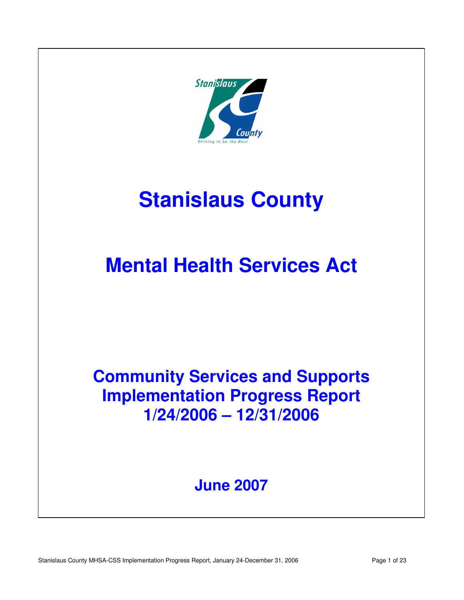

# **Community Services And Supports And Supports And Support Support And Support And Support And Support And Support And Support And Support And Support And Support And Support And Support And Support And Support And Support Stanislaus County**

# **IMCHIQI FICATUL JEI VICES ACT Mental Health Services Act**

# **Community Services and Supports Implementation Progress Report 1/24/2006 – 12/31/2006**

# **June 2007**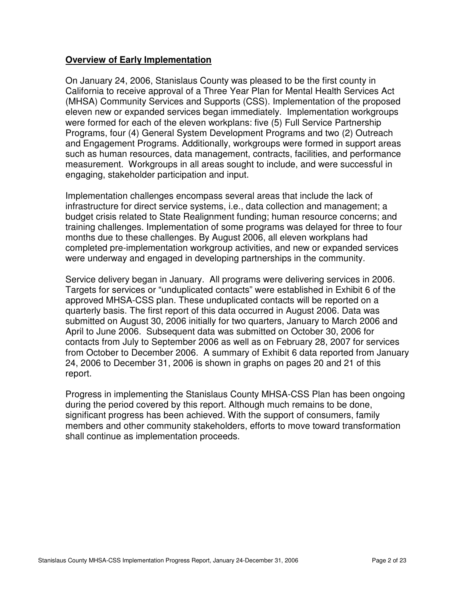#### **Overview of Early Implementation**

On January 24, 2006, Stanislaus County was pleased to be the first county in California to receive approval of a Three Year Plan for Mental Health Services Act (MHSA) Community Services and Supports (CSS). Implementation of the proposed eleven new or expanded services began immediately. Implementation workgroups were formed for each of the eleven workplans: five (5) Full Service Partnership Programs, four (4) General System Development Programs and two (2) Outreach and Engagement Programs. Additionally, workgroups were formed in support areas such as human resources, data management, contracts, facilities, and performance measurement. Workgroups in all areas sought to include, and were successful in engaging, stakeholder participation and input.

Implementation challenges encompass several areas that include the lack of infrastructure for direct service systems, i.e., data collection and management; a budget crisis related to State Realignment funding; human resource concerns; and training challenges. Implementation of some programs was delayed for three to four months due to these challenges. By August 2006, all eleven workplans had completed pre-implementation workgroup activities, and new or expanded services were underway and engaged in developing partnerships in the community.

Service delivery began in January. All programs were delivering services in 2006. Targets for services or "unduplicated contacts" were established in Exhibit 6 of the approved MHSA-CSS plan. These unduplicated contacts will be reported on a quarterly basis. The first report of this data occurred in August 2006. Data was submitted on August 30, 2006 initially for two quarters, January to March 2006 and April to June 2006. Subsequent data was submitted on October 30, 2006 for contacts from July to September 2006 as well as on February 28, 2007 for services from October to December 2006. A summary of Exhibit 6 data reported from January 24, 2006 to December 31, 2006 is shown in graphs on pages 20 and 21 of this report.

Progress in implementing the Stanislaus County MHSA-CSS Plan has been ongoing during the period covered by this report. Although much remains to be done, significant progress has been achieved. With the support of consumers, family members and other community stakeholders, efforts to move toward transformation shall continue as implementation proceeds.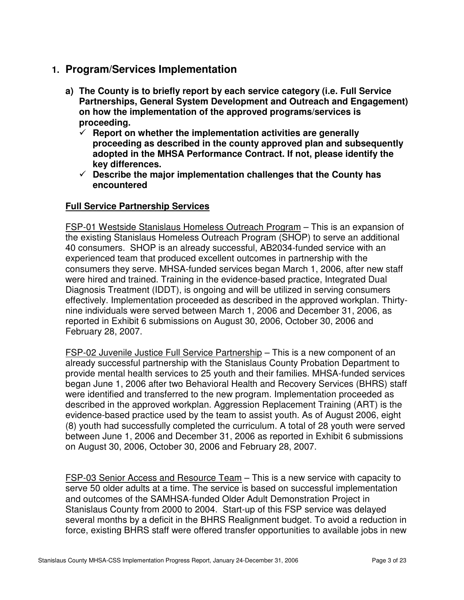### **1. Program/Services Implementation**

- **a) The County is to briefly report by each service category (i.e. Full Service Partnerships, General System Development and Outreach and Engagement) on how the implementation of the approved programs/services is proceeding.** 
	- $\checkmark$  Report on whether the implementation activities are generally **proceeding as described in the county approved plan and subsequently adopted in the MHSA Performance Contract. If not, please identify the key differences.**
	- **Describe the major implementation challenges that the County has encountered**

#### **Full Service Partnership Services**

FSP-01 Westside Stanislaus Homeless Outreach Program – This is an expansion of the existing Stanislaus Homeless Outreach Program (SHOP) to serve an additional 40 consumers. SHOP is an already successful, AB2034-funded service with an experienced team that produced excellent outcomes in partnership with the consumers they serve. MHSA-funded services began March 1, 2006, after new staff were hired and trained. Training in the evidence-based practice, Integrated Dual Diagnosis Treatment (IDDT), is ongoing and will be utilized in serving consumers effectively. Implementation proceeded as described in the approved workplan. Thirtynine individuals were served between March 1, 2006 and December 31, 2006, as reported in Exhibit 6 submissions on August 30, 2006, October 30, 2006 and February 28, 2007.

FSP-02 Juvenile Justice Full Service Partnership – This is a new component of an already successful partnership with the Stanislaus County Probation Department to provide mental health services to 25 youth and their families. MHSA-funded services began June 1, 2006 after two Behavioral Health and Recovery Services (BHRS) staff were identified and transferred to the new program. Implementation proceeded as described in the approved workplan. Aggression Replacement Training (ART) is the evidence-based practice used by the team to assist youth. As of August 2006, eight (8) youth had successfully completed the curriculum. A total of 28 youth were served between June 1, 2006 and December 31, 2006 as reported in Exhibit 6 submissions on August 30, 2006, October 30, 2006 and February 28, 2007.

FSP-03 Senior Access and Resource Team – This is a new service with capacity to serve 50 older adults at a time. The service is based on successful implementation and outcomes of the SAMHSA-funded Older Adult Demonstration Project in Stanislaus County from 2000 to 2004. Start-up of this FSP service was delayed several months by a deficit in the BHRS Realignment budget. To avoid a reduction in force, existing BHRS staff were offered transfer opportunities to available jobs in new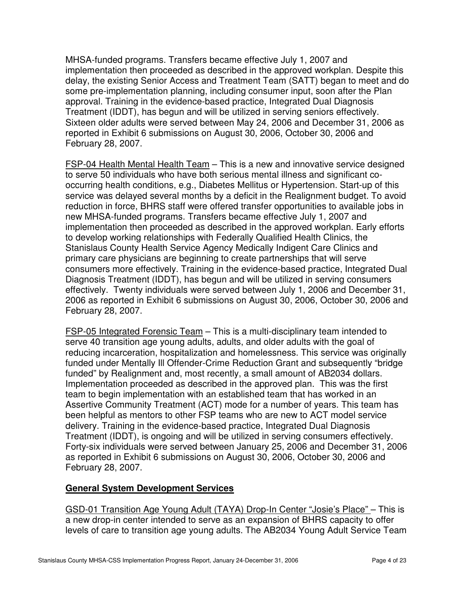MHSA-funded programs. Transfers became effective July 1, 2007 and implementation then proceeded as described in the approved workplan. Despite this delay, the existing Senior Access and Treatment Team (SATT) began to meet and do some pre-implementation planning, including consumer input, soon after the Plan approval. Training in the evidence-based practice, Integrated Dual Diagnosis Treatment (IDDT), has begun and will be utilized in serving seniors effectively. Sixteen older adults were served between May 24, 2006 and December 31, 2006 as reported in Exhibit 6 submissions on August 30, 2006, October 30, 2006 and February 28, 2007.

FSP-04 Health Mental Health Team – This is a new and innovative service designed to serve 50 individuals who have both serious mental illness and significant cooccurring health conditions, e.g., Diabetes Mellitus or Hypertension. Start-up of this service was delayed several months by a deficit in the Realignment budget. To avoid reduction in force, BHRS staff were offered transfer opportunities to available jobs in new MHSA-funded programs. Transfers became effective July 1, 2007 and implementation then proceeded as described in the approved workplan. Early efforts to develop working relationships with Federally Qualified Health Clinics, the Stanislaus County Health Service Agency Medically Indigent Care Clinics and primary care physicians are beginning to create partnerships that will serve consumers more effectively. Training in the evidence-based practice, Integrated Dual Diagnosis Treatment (IDDT), has begun and will be utilized in serving consumers effectively. Twenty individuals were served between July 1, 2006 and December 31, 2006 as reported in Exhibit 6 submissions on August 30, 2006, October 30, 2006 and February 28, 2007.

FSP-05 Integrated Forensic Team – This is a multi-disciplinary team intended to serve 40 transition age young adults, adults, and older adults with the goal of reducing incarceration, hospitalization and homelessness. This service was originally funded under Mentally Ill Offender-Crime Reduction Grant and subsequently "bridge funded" by Realignment and, most recently, a small amount of AB2034 dollars. Implementation proceeded as described in the approved plan. This was the first team to begin implementation with an established team that has worked in an Assertive Community Treatment (ACT) mode for a number of years. This team has been helpful as mentors to other FSP teams who are new to ACT model service delivery. Training in the evidence-based practice, Integrated Dual Diagnosis Treatment (IDDT), is ongoing and will be utilized in serving consumers effectively. Forty-six individuals were served between January 25, 2006 and December 31, 2006 as reported in Exhibit 6 submissions on August 30, 2006, October 30, 2006 and February 28, 2007.

#### **General System Development Services**

GSD-01 Transition Age Young Adult (TAYA) Drop-In Center "Josie's Place" – This is a new drop-in center intended to serve as an expansion of BHRS capacity to offer levels of care to transition age young adults. The AB2034 Young Adult Service Team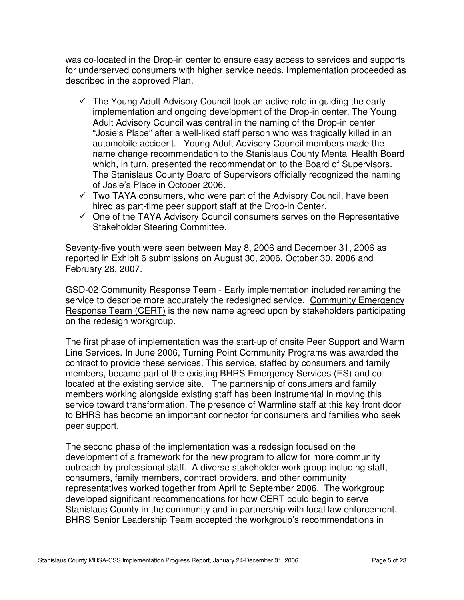was co-located in the Drop-in center to ensure easy access to services and supports for underserved consumers with higher service needs. Implementation proceeded as described in the approved Plan.

- $\checkmark$  The Young Adult Advisory Council took an active role in guiding the early implementation and ongoing development of the Drop-in center. The Young Adult Advisory Council was central in the naming of the Drop-in center "Josie's Place" after a well-liked staff person who was tragically killed in an automobile accident. Young Adult Advisory Council members made the name change recommendation to the Stanislaus County Mental Health Board which, in turn, presented the recommendation to the Board of Supervisors. The Stanislaus County Board of Supervisors officially recognized the naming of Josie's Place in October 2006.
- $\checkmark$  Two TAYA consumers, who were part of the Advisory Council, have been hired as part-time peer support staff at the Drop-in Center.
- $\checkmark$  One of the TAYA Advisory Council consumers serves on the Representative Stakeholder Steering Committee.

Seventy-five youth were seen between May 8, 2006 and December 31, 2006 as reported in Exhibit 6 submissions on August 30, 2006, October 30, 2006 and February 28, 2007.

GSD-02 Community Response Team - Early implementation included renaming the service to describe more accurately the redesigned service. Community Emergency Response Team (CERT) is the new name agreed upon by stakeholders participating on the redesign workgroup.

The first phase of implementation was the start-up of onsite Peer Support and Warm Line Services. In June 2006, Turning Point Community Programs was awarded the contract to provide these services. This service, staffed by consumers and family members, became part of the existing BHRS Emergency Services (ES) and colocated at the existing service site. The partnership of consumers and family members working alongside existing staff has been instrumental in moving this service toward transformation. The presence of Warmline staff at this key front door to BHRS has become an important connector for consumers and families who seek peer support.

The second phase of the implementation was a redesign focused on the development of a framework for the new program to allow for more community outreach by professional staff. A diverse stakeholder work group including staff, consumers, family members, contract providers, and other community representatives worked together from April to September 2006. The workgroup developed significant recommendations for how CERT could begin to serve Stanislaus County in the community and in partnership with local law enforcement. BHRS Senior Leadership Team accepted the workgroup's recommendations in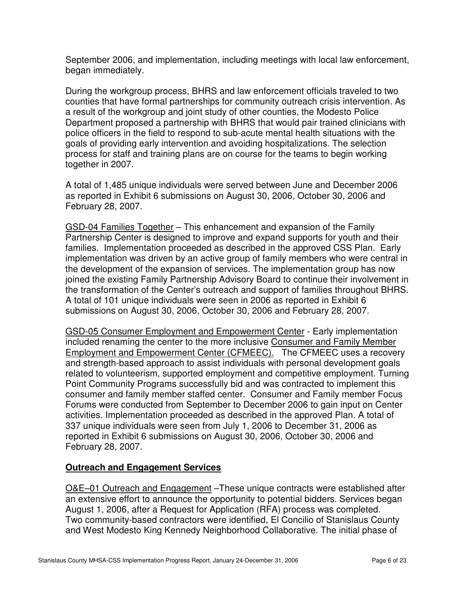September 2006, and implementation, including meetings with local law enforcement, began immediately.

During the workgroup process, BHRS and law enforcement officials traveled to two counties that have formal partnerships for community outreach crisis intervention. As a result of the workgroup and joint study of other counties, the Modesto Police Department proposed a partnership with BHRS that would pair trained clinicians with police officers in the field to respond to sub-acute mental health situations with the goals of providing early intervention and avoiding hospitalizations. The selection process for staff and training plans are on course for the teams to begin working together in 2007.

A total of 1,485 unique individuals were served between June and December 2006 as reported in Exhibit 6 submissions on August 30, 2006, October 30, 2006 and February 28, 2007.

GSD-04 Families Together – This enhancement and expansion of the Family Partnership Center is designed to improve and expand supports for youth and their families. Implementation proceeded as described in the approved CSS Plan. Early implementation was driven by an active group of family members who were central in the development of the expansion of services. The implementation group has now joined the existing Family Partnership Advisory Board to continue their involvement in the transformation of the Center's outreach and support of families throughout BHRS. A total of 101 unique individuals were seen in 2006 as reported in Exhibit 6 submissions on August 30, 2006, October 30, 2006 and February 28, 2007.

GSD-05 Consumer Employment and Empowerment Center - Early implementation included renaming the center to the more inclusive Consumer and Family Member Employment and Empowerment Center (CFMEEC). The CFMEEC uses a recovery and strength-based approach to assist individuals with personal development goals related to volunteerism, supported employment and competitive employment. Turning Point Community Programs successfully bid and was contracted to implement this consumer and family member staffed center. Consumer and Family member Focus Forums were conducted from September to December 2006 to gain input on Center activities. Implementation proceeded as described in the approved Plan. A total of 337 unique individuals were seen from July 1, 2006 to December 31, 2006 as reported in Exhibit 6 submissions on August 30, 2006, October 30, 2006 and February 28, 2007.

#### **Outreach and Engagement Services**

O&E–01 Outreach and Engagement –These unique contracts were established after an extensive effort to announce the opportunity to potential bidders. Services began August 1, 2006, after a Request for Application (RFA) process was completed. Two community-based contractors were identified, El Concilio of Stanislaus County and West Modesto King Kennedy Neighborhood Collaborative. The initial phase of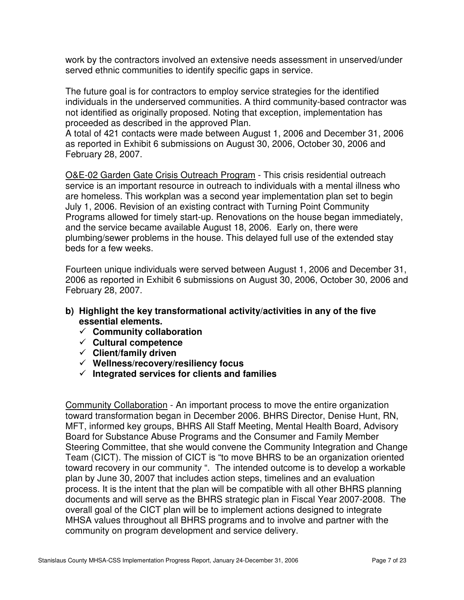work by the contractors involved an extensive needs assessment in unserved/under served ethnic communities to identify specific gaps in service.

The future goal is for contractors to employ service strategies for the identified individuals in the underserved communities. A third community-based contractor was not identified as originally proposed. Noting that exception, implementation has proceeded as described in the approved Plan.

A total of 421 contacts were made between August 1, 2006 and December 31, 2006 as reported in Exhibit 6 submissions on August 30, 2006, October 30, 2006 and February 28, 2007.

O&E-02 Garden Gate Crisis Outreach Program - This crisis residential outreach service is an important resource in outreach to individuals with a mental illness who are homeless. This workplan was a second year implementation plan set to begin July 1, 2006. Revision of an existing contract with Turning Point Community Programs allowed for timely start-up. Renovations on the house began immediately, and the service became available August 18, 2006. Early on, there were plumbing/sewer problems in the house. This delayed full use of the extended stay beds for a few weeks.

Fourteen unique individuals were served between August 1, 2006 and December 31, 2006 as reported in Exhibit 6 submissions on August 30, 2006, October 30, 2006 and February 28, 2007.

- **b) Highlight the key transformational activity/activities in any of the five essential elements.** 
	- **Community collaboration**
	- **Cultural competence**
	- **Client/family driven**
	- **Wellness/recovery/resiliency focus**
	- $\checkmark$  Integrated services for clients and families

Community Collaboration - An important process to move the entire organization toward transformation began in December 2006. BHRS Director, Denise Hunt, RN, MFT, informed key groups, BHRS All Staff Meeting, Mental Health Board, Advisory Board for Substance Abuse Programs and the Consumer and Family Member Steering Committee, that she would convene the Community Integration and Change Team (CICT). The mission of CICT is "to move BHRS to be an organization oriented toward recovery in our community ". The intended outcome is to develop a workable plan by June 30, 2007 that includes action steps, timelines and an evaluation process. It is the intent that the plan will be compatible with all other BHRS planning documents and will serve as the BHRS strategic plan in Fiscal Year 2007-2008. The overall goal of the CICT plan will be to implement actions designed to integrate MHSA values throughout all BHRS programs and to involve and partner with the community on program development and service delivery.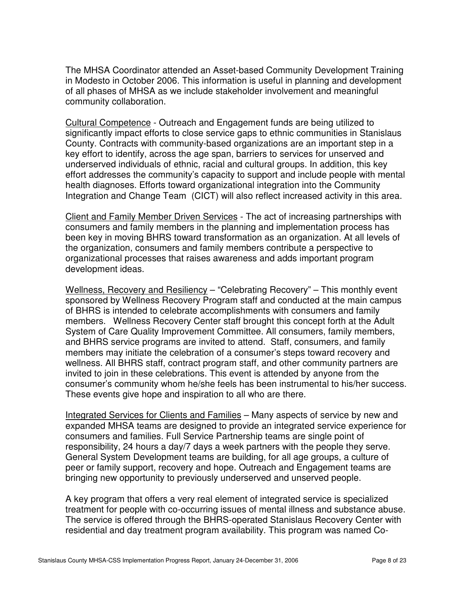The MHSA Coordinator attended an Asset-based Community Development Training in Modesto in October 2006. This information is useful in planning and development of all phases of MHSA as we include stakeholder involvement and meaningful community collaboration.

Cultural Competence - Outreach and Engagement funds are being utilized to significantly impact efforts to close service gaps to ethnic communities in Stanislaus County. Contracts with community-based organizations are an important step in a key effort to identify, across the age span, barriers to services for unserved and underserved individuals of ethnic, racial and cultural groups. In addition, this key effort addresses the community's capacity to support and include people with mental health diagnoses. Efforts toward organizational integration into the Community Integration and Change Team (CICT) will also reflect increased activity in this area.

Client and Family Member Driven Services - The act of increasing partnerships with consumers and family members in the planning and implementation process has been key in moving BHRS toward transformation as an organization. At all levels of the organization, consumers and family members contribute a perspective to organizational processes that raises awareness and adds important program development ideas.

Wellness, Recovery and Resiliency - "Celebrating Recovery" - This monthly event sponsored by Wellness Recovery Program staff and conducted at the main campus of BHRS is intended to celebrate accomplishments with consumers and family members. Wellness Recovery Center staff brought this concept forth at the Adult System of Care Quality Improvement Committee. All consumers, family members, and BHRS service programs are invited to attend. Staff, consumers, and family members may initiate the celebration of a consumer's steps toward recovery and wellness. All BHRS staff, contract program staff, and other community partners are invited to join in these celebrations. This event is attended by anyone from the consumer's community whom he/she feels has been instrumental to his/her success. These events give hope and inspiration to all who are there.

Integrated Services for Clients and Families – Many aspects of service by new and expanded MHSA teams are designed to provide an integrated service experience for consumers and families. Full Service Partnership teams are single point of responsibility, 24 hours a day/7 days a week partners with the people they serve. General System Development teams are building, for all age groups, a culture of peer or family support, recovery and hope. Outreach and Engagement teams are bringing new opportunity to previously underserved and unserved people.

A key program that offers a very real element of integrated service is specialized treatment for people with co-occurring issues of mental illness and substance abuse. The service is offered through the BHRS-operated Stanislaus Recovery Center with residential and day treatment program availability. This program was named Co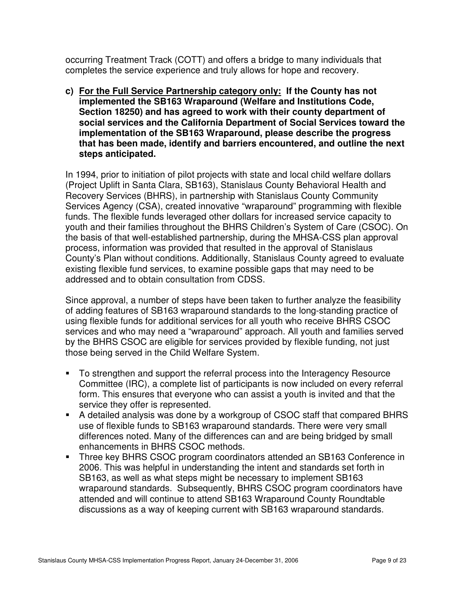occurring Treatment Track (COTT) and offers a bridge to many individuals that completes the service experience and truly allows for hope and recovery.

**c) For the Full Service Partnership category only: If the County has not implemented the SB163 Wraparound (Welfare and Institutions Code, Section 18250) and has agreed to work with their county department of social services and the California Department of Social Services toward the implementation of the SB163 Wraparound, please describe the progress that has been made, identify and barriers encountered, and outline the next steps anticipated.** 

In 1994, prior to initiation of pilot projects with state and local child welfare dollars (Project Uplift in Santa Clara, SB163), Stanislaus County Behavioral Health and Recovery Services (BHRS), in partnership with Stanislaus County Community Services Agency (CSA), created innovative "wraparound" programming with flexible funds. The flexible funds leveraged other dollars for increased service capacity to youth and their families throughout the BHRS Children's System of Care (CSOC). On the basis of that well-established partnership, during the MHSA-CSS plan approval process, information was provided that resulted in the approval of Stanislaus County's Plan without conditions. Additionally, Stanislaus County agreed to evaluate existing flexible fund services, to examine possible gaps that may need to be addressed and to obtain consultation from CDSS.

Since approval, a number of steps have been taken to further analyze the feasibility of adding features of SB163 wraparound standards to the long-standing practice of using flexible funds for additional services for all youth who receive BHRS CSOC services and who may need a "wraparound" approach. All youth and families served by the BHRS CSOC are eligible for services provided by flexible funding, not just those being served in the Child Welfare System.

- To strengthen and support the referral process into the Interagency Resource Committee (IRC), a complete list of participants is now included on every referral form. This ensures that everyone who can assist a youth is invited and that the service they offer is represented.
- A detailed analysis was done by a workgroup of CSOC staff that compared BHRS use of flexible funds to SB163 wraparound standards. There were very small differences noted. Many of the differences can and are being bridged by small enhancements in BHRS CSOC methods.
- Three key BHRS CSOC program coordinators attended an SB163 Conference in 2006. This was helpful in understanding the intent and standards set forth in SB163, as well as what steps might be necessary to implement SB163 wraparound standards. Subsequently, BHRS CSOC program coordinators have attended and will continue to attend SB163 Wraparound County Roundtable discussions as a way of keeping current with SB163 wraparound standards.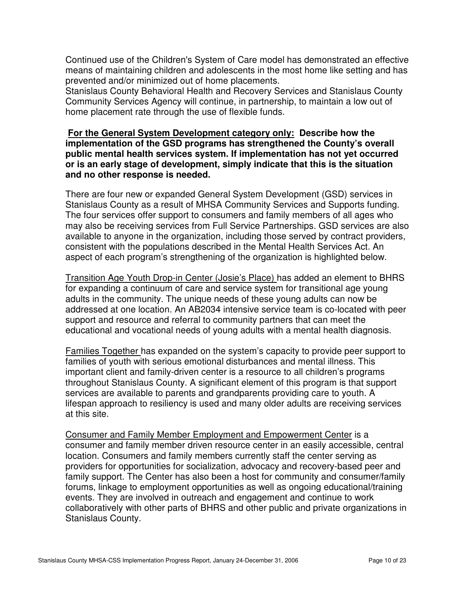Continued use of the Children's System of Care model has demonstrated an effective means of maintaining children and adolescents in the most home like setting and has prevented and/or minimized out of home placements.

Stanislaus County Behavioral Health and Recovery Services and Stanislaus County Community Services Agency will continue, in partnership, to maintain a low out of home placement rate through the use of flexible funds.

#### **For the General System Development category only: Describe how the implementation of the GSD programs has strengthened the County's overall public mental health services system. If implementation has not yet occurred or is an early stage of development, simply indicate that this is the situation and no other response is needed.**

There are four new or expanded General System Development (GSD) services in Stanislaus County as a result of MHSA Community Services and Supports funding. The four services offer support to consumers and family members of all ages who may also be receiving services from Full Service Partnerships. GSD services are also available to anyone in the organization, including those served by contract providers, consistent with the populations described in the Mental Health Services Act. An aspect of each program's strengthening of the organization is highlighted below.

Transition Age Youth Drop-in Center (Josie's Place) has added an element to BHRS for expanding a continuum of care and service system for transitional age young adults in the community. The unique needs of these young adults can now be addressed at one location. An AB2034 intensive service team is co-located with peer support and resource and referral to community partners that can meet the educational and vocational needs of young adults with a mental health diagnosis.

Families Together has expanded on the system's capacity to provide peer support to families of youth with serious emotional disturbances and mental illness. This important client and family-driven center is a resource to all children's programs throughout Stanislaus County. A significant element of this program is that support services are available to parents and grandparents providing care to youth. A lifespan approach to resiliency is used and many older adults are receiving services at this site.

Consumer and Family Member Employment and Empowerment Center is a consumer and family member driven resource center in an easily accessible, central location. Consumers and family members currently staff the center serving as providers for opportunities for socialization, advocacy and recovery-based peer and family support. The Center has also been a host for community and consumer/family forums, linkage to employment opportunities as well as ongoing educational/training events. They are involved in outreach and engagement and continue to work collaboratively with other parts of BHRS and other public and private organizations in Stanislaus County.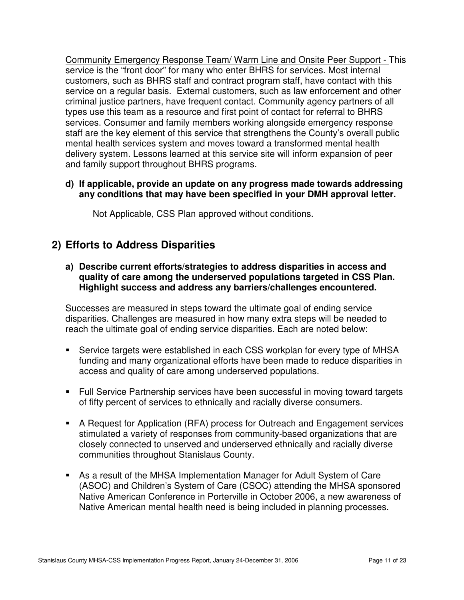Community Emergency Response Team/ Warm Line and Onsite Peer Support - This service is the "front door" for many who enter BHRS for services. Most internal customers, such as BHRS staff and contract program staff, have contact with this service on a regular basis. External customers, such as law enforcement and other criminal justice partners, have frequent contact. Community agency partners of all types use this team as a resource and first point of contact for referral to BHRS services. Consumer and family members working alongside emergency response staff are the key element of this service that strengthens the County's overall public mental health services system and moves toward a transformed mental health delivery system. Lessons learned at this service site will inform expansion of peer and family support throughout BHRS programs.

#### **d) If applicable, provide an update on any progress made towards addressing any conditions that may have been specified in your DMH approval letter.**

Not Applicable, CSS Plan approved without conditions.

## **2) Efforts to Address Disparities**

**a) Describe current efforts/strategies to address disparities in access and quality of care among the underserved populations targeted in CSS Plan. Highlight success and address any barriers/challenges encountered.** 

Successes are measured in steps toward the ultimate goal of ending service disparities. Challenges are measured in how many extra steps will be needed to reach the ultimate goal of ending service disparities. Each are noted below:

- Service targets were established in each CSS workplan for every type of MHSA funding and many organizational efforts have been made to reduce disparities in access and quality of care among underserved populations.
- Full Service Partnership services have been successful in moving toward targets of fifty percent of services to ethnically and racially diverse consumers.
- A Request for Application (RFA) process for Outreach and Engagement services stimulated a variety of responses from community-based organizations that are closely connected to unserved and underserved ethnically and racially diverse communities throughout Stanislaus County.
- As a result of the MHSA Implementation Manager for Adult System of Care (ASOC) and Children's System of Care (CSOC) attending the MHSA sponsored Native American Conference in Porterville in October 2006, a new awareness of Native American mental health need is being included in planning processes.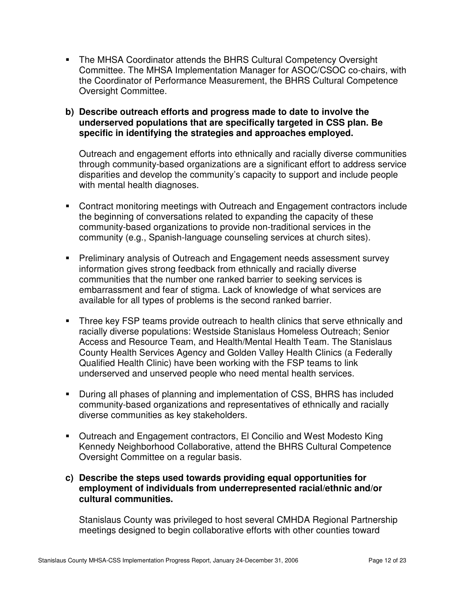The MHSA Coordinator attends the BHRS Cultural Competency Oversight Committee. The MHSA Implementation Manager for ASOC/CSOC co-chairs, with the Coordinator of Performance Measurement, the BHRS Cultural Competence Oversight Committee.

#### **b) Describe outreach efforts and progress made to date to involve the underserved populations that are specifically targeted in CSS plan. Be specific in identifying the strategies and approaches employed.**

Outreach and engagement efforts into ethnically and racially diverse communities through community-based organizations are a significant effort to address service disparities and develop the community's capacity to support and include people with mental health diagnoses.

- Contract monitoring meetings with Outreach and Engagement contractors include the beginning of conversations related to expanding the capacity of these community-based organizations to provide non-traditional services in the community (e.g., Spanish-language counseling services at church sites).
- **Preliminary analysis of Outreach and Engagement needs assessment survey** information gives strong feedback from ethnically and racially diverse communities that the number one ranked barrier to seeking services is embarrassment and fear of stigma. Lack of knowledge of what services are available for all types of problems is the second ranked barrier.
- Three key FSP teams provide outreach to health clinics that serve ethnically and racially diverse populations: Westside Stanislaus Homeless Outreach; Senior Access and Resource Team, and Health/Mental Health Team. The Stanislaus County Health Services Agency and Golden Valley Health Clinics (a Federally Qualified Health Clinic) have been working with the FSP teams to link underserved and unserved people who need mental health services.
- During all phases of planning and implementation of CSS, BHRS has included community-based organizations and representatives of ethnically and racially diverse communities as key stakeholders.
- Outreach and Engagement contractors, El Concilio and West Modesto King Kennedy Neighborhood Collaborative, attend the BHRS Cultural Competence Oversight Committee on a regular basis.

#### **c) Describe the steps used towards providing equal opportunities for employment of individuals from underrepresented racial/ethnic and/or cultural communities.**

Stanislaus County was privileged to host several CMHDA Regional Partnership meetings designed to begin collaborative efforts with other counties toward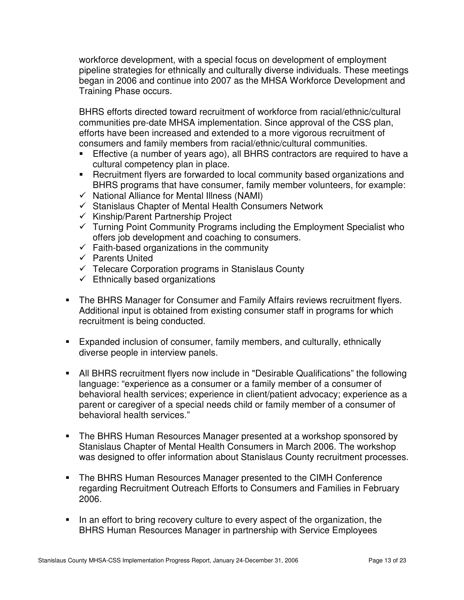workforce development, with a special focus on development of employment pipeline strategies for ethnically and culturally diverse individuals. These meetings began in 2006 and continue into 2007 as the MHSA Workforce Development and Training Phase occurs.

BHRS efforts directed toward recruitment of workforce from racial/ethnic/cultural communities pre-date MHSA implementation. Since approval of the CSS plan, efforts have been increased and extended to a more vigorous recruitment of consumers and family members from racial/ethnic/cultural communities.

- **Effective (a number of years ago), all BHRS contractors are required to have a** cultural competency plan in place.
- **Recruitment flyers are forwarded to local community based organizations and** BHRS programs that have consumer, family member volunteers, for example:
- $\checkmark$  National Alliance for Mental Illness (NAMI)
- $\checkmark$  Stanislaus Chapter of Mental Health Consumers Network
- $\checkmark$  Kinship/Parent Partnership Project
- $\checkmark$  Turning Point Community Programs including the Employment Specialist who offers job development and coaching to consumers.
- $\checkmark$  Faith-based organizations in the community
- $\checkmark$  Parents United
- $\checkmark$  Telecare Corporation programs in Stanislaus County
- $\checkmark$  Ethnically based organizations
- **The BHRS Manager for Consumer and Family Affairs reviews recruitment flyers.** Additional input is obtained from existing consumer staff in programs for which recruitment is being conducted.
- Expanded inclusion of consumer, family members, and culturally, ethnically diverse people in interview panels.
- All BHRS recruitment flyers now include in "Desirable Qualifications" the following language: "experience as a consumer or a family member of a consumer of behavioral health services; experience in client/patient advocacy; experience as a parent or caregiver of a special needs child or family member of a consumer of behavioral health services."
- The BHRS Human Resources Manager presented at a workshop sponsored by Stanislaus Chapter of Mental Health Consumers in March 2006. The workshop was designed to offer information about Stanislaus County recruitment processes.
- The BHRS Human Resources Manager presented to the CIMH Conference regarding Recruitment Outreach Efforts to Consumers and Families in February 2006.
- In an effort to bring recovery culture to every aspect of the organization, the BHRS Human Resources Manager in partnership with Service Employees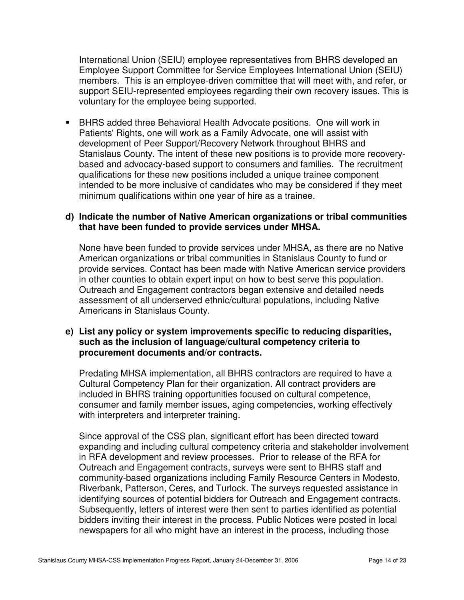International Union (SEIU) employee representatives from BHRS developed an Employee Support Committee for Service Employees International Union (SEIU) members. This is an employee-driven committee that will meet with, and refer, or support SEIU-represented employees regarding their own recovery issues. This is voluntary for the employee being supported.

 BHRS added three Behavioral Health Advocate positions. One will work in Patients' Rights, one will work as a Family Advocate, one will assist with development of Peer Support/Recovery Network throughout BHRS and Stanislaus County. The intent of these new positions is to provide more recoverybased and advocacy-based support to consumers and families. The recruitment qualifications for these new positions included a unique trainee component intended to be more inclusive of candidates who may be considered if they meet minimum qualifications within one year of hire as a trainee.

#### **d) Indicate the number of Native American organizations or tribal communities that have been funded to provide services under MHSA.**

None have been funded to provide services under MHSA, as there are no Native American organizations or tribal communities in Stanislaus County to fund or provide services. Contact has been made with Native American service providers in other counties to obtain expert input on how to best serve this population. Outreach and Engagement contractors began extensive and detailed needs assessment of all underserved ethnic/cultural populations, including Native Americans in Stanislaus County.

#### **e) List any policy or system improvements specific to reducing disparities, such as the inclusion of language/cultural competency criteria to procurement documents and/or contracts.**

Predating MHSA implementation, all BHRS contractors are required to have a Cultural Competency Plan for their organization. All contract providers are included in BHRS training opportunities focused on cultural competence, consumer and family member issues, aging competencies, working effectively with interpreters and interpreter training.

Since approval of the CSS plan, significant effort has been directed toward expanding and including cultural competency criteria and stakeholder involvement in RFA development and review processes. Prior to release of the RFA for Outreach and Engagement contracts, surveys were sent to BHRS staff and community-based organizations including Family Resource Centers in Modesto, Riverbank, Patterson, Ceres, and Turlock. The surveys requested assistance in identifying sources of potential bidders for Outreach and Engagement contracts. Subsequently, letters of interest were then sent to parties identified as potential bidders inviting their interest in the process. Public Notices were posted in local newspapers for all who might have an interest in the process, including those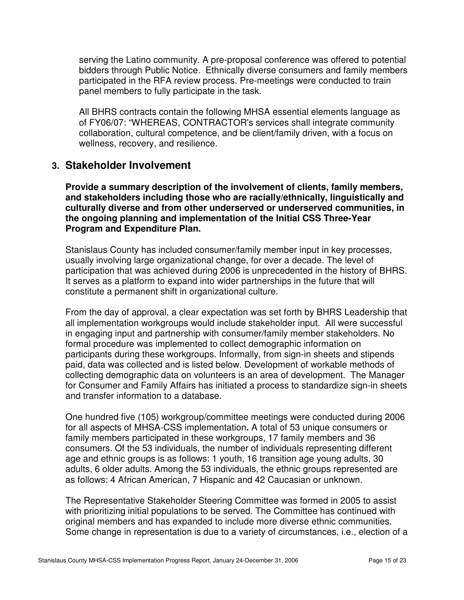serving the Latino community. A pre-proposal conference was offered to potential bidders through Public Notice. Ethnically diverse consumers and family members participated in the RFA review process. Pre-meetings were conducted to train panel members to fully participate in the task.

All BHRS contracts contain the following MHSA essential elements language as of FY06/07: "WHEREAS, CONTRACTOR's services shall integrate community collaboration, cultural competence, and be client/family driven, with a focus on wellness, recovery, and resilience.

### **3. Stakeholder Involvement**

**Provide a summary description of the involvement of clients, family members, and stakeholders including those who are racially/ethnically, linguistically and culturally diverse and from other underserved or underserved communities, in the ongoing planning and implementation of the Initial CSS Three-Year Program and Expenditure Plan.** 

Stanislaus County has included consumer/family member input in key processes, usually involving large organizational change, for over a decade. The level of participation that was achieved during 2006 is unprecedented in the history of BHRS. It serves as a platform to expand into wider partnerships in the future that will constitute a permanent shift in organizational culture.

From the day of approval, a clear expectation was set forth by BHRS Leadership that all implementation workgroups would include stakeholder input. All were successful in engaging input and partnership with consumer/family member stakeholders. No formal procedure was implemented to collect demographic information on participants during these workgroups. Informally, from sign-in sheets and stipends paid, data was collected and is listed below. Development of workable methods of collecting demographic data on volunteers is an area of development. The Manager for Consumer and Family Affairs has initiated a process to standardize sign-in sheets and transfer information to a database.

One hundred five (105) workgroup/committee meetings were conducted during 2006 for all aspects of MHSA-CSS implementation**.** A total of 53 unique consumers or family members participated in these workgroups, 17 family members and 36 consumers. Of the 53 individuals, the number of individuals representing different age and ethnic groups is as follows: 1 youth, 16 transition age young adults, 30 adults, 6 older adults. Among the 53 individuals, the ethnic groups represented are as follows: 4 African American, 7 Hispanic and 42 Caucasian or unknown.

The Representative Stakeholder Steering Committee was formed in 2005 to assist with prioritizing initial populations to be served. The Committee has continued with original members and has expanded to include more diverse ethnic communities. Some change in representation is due to a variety of circumstances, i.e., election of a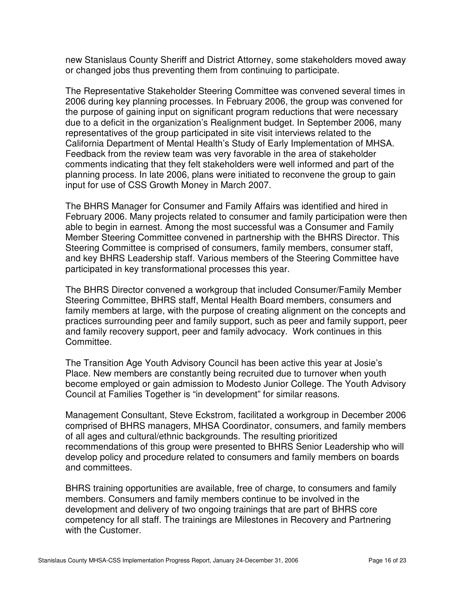new Stanislaus County Sheriff and District Attorney, some stakeholders moved away or changed jobs thus preventing them from continuing to participate.

The Representative Stakeholder Steering Committee was convened several times in 2006 during key planning processes. In February 2006, the group was convened for the purpose of gaining input on significant program reductions that were necessary due to a deficit in the organization's Realignment budget. In September 2006, many representatives of the group participated in site visit interviews related to the California Department of Mental Health's Study of Early Implementation of MHSA. Feedback from the review team was very favorable in the area of stakeholder comments indicating that they felt stakeholders were well informed and part of the planning process. In late 2006, plans were initiated to reconvene the group to gain input for use of CSS Growth Money in March 2007.

The BHRS Manager for Consumer and Family Affairs was identified and hired in February 2006. Many projects related to consumer and family participation were then able to begin in earnest. Among the most successful was a Consumer and Family Member Steering Committee convened in partnership with the BHRS Director. This Steering Committee is comprised of consumers, family members, consumer staff, and key BHRS Leadership staff. Various members of the Steering Committee have participated in key transformational processes this year.

The BHRS Director convened a workgroup that included Consumer/Family Member Steering Committee, BHRS staff, Mental Health Board members, consumers and family members at large, with the purpose of creating alignment on the concepts and practices surrounding peer and family support, such as peer and family support, peer and family recovery support, peer and family advocacy. Work continues in this Committee.

The Transition Age Youth Advisory Council has been active this year at Josie's Place. New members are constantly being recruited due to turnover when youth become employed or gain admission to Modesto Junior College. The Youth Advisory Council at Families Together is "in development" for similar reasons.

Management Consultant, Steve Eckstrom, facilitated a workgroup in December 2006 comprised of BHRS managers, MHSA Coordinator, consumers, and family members of all ages and cultural/ethnic backgrounds. The resulting prioritized recommendations of this group were presented to BHRS Senior Leadership who will develop policy and procedure related to consumers and family members on boards and committees.

BHRS training opportunities are available, free of charge, to consumers and family members. Consumers and family members continue to be involved in the development and delivery of two ongoing trainings that are part of BHRS core competency for all staff. The trainings are Milestones in Recovery and Partnering with the Customer.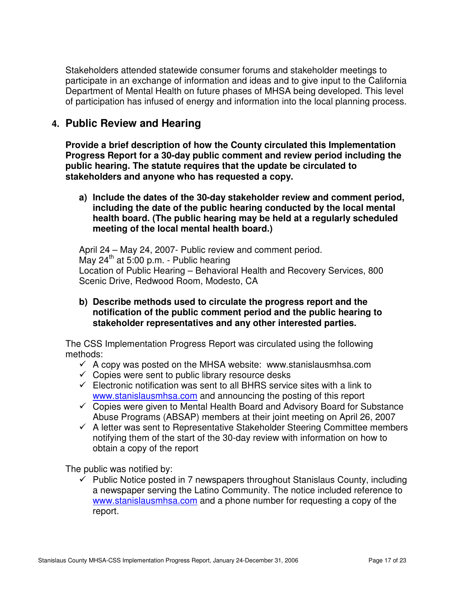Stakeholders attended statewide consumer forums and stakeholder meetings to participate in an exchange of information and ideas and to give input to the California Department of Mental Health on future phases of MHSA being developed. This level of participation has infused of energy and information into the local planning process.

## **4. Public Review and Hearing**

**Provide a brief description of how the County circulated this Implementation Progress Report for a 30-day public comment and review period including the public hearing. The statute requires that the update be circulated to stakeholders and anyone who has requested a copy.** 

**a) Include the dates of the 30-day stakeholder review and comment period, including the date of the public hearing conducted by the local mental health board. (The public hearing may be held at a regularly scheduled meeting of the local mental health board.)** 

April 24 – May 24, 2007- Public review and comment period. May  $24<sup>th</sup>$  at 5:00 p.m. - Public hearing Location of Public Hearing – Behavioral Health and Recovery Services, 800 Scenic Drive, Redwood Room, Modesto, CA

**b) Describe methods used to circulate the progress report and the notification of the public comment period and the public hearing to stakeholder representatives and any other interested parties.** 

The CSS Implementation Progress Report was circulated using the following methods:

- $\checkmark$  A copy was posted on the MHSA website: www.stanislausmhsa.com
- $\checkmark$  Copies were sent to public library resource desks
- $\checkmark$  Electronic notification was sent to all BHRS service sites with a link to www.stanislausmhsa.com and announcing the posting of this report
- $\checkmark$  Copies were given to Mental Health Board and Advisory Board for Substance Abuse Programs (ABSAP) members at their joint meeting on April 26, 2007
- $\checkmark$  A letter was sent to Representative Stakeholder Steering Committee members notifying them of the start of the 30-day review with information on how to obtain a copy of the report

The public was notified by:

 $\checkmark$  Public Notice posted in 7 newspapers throughout Stanislaus County, including a newspaper serving the Latino Community. The notice included reference to www.stanislausmhsa.com and a phone number for requesting a copy of the report.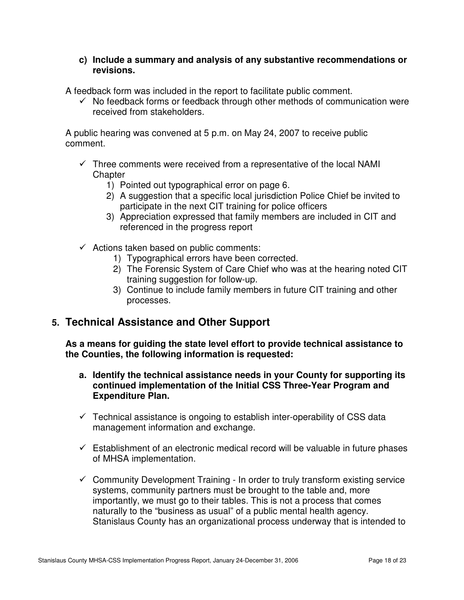#### **c) Include a summary and analysis of any substantive recommendations or revisions.**

A feedback form was included in the report to facilitate public comment.

 $\checkmark$  No feedback forms or feedback through other methods of communication were received from stakeholders.

A public hearing was convened at 5 p.m. on May 24, 2007 to receive public comment.

- $\checkmark$  Three comments were received from a representative of the local NAMI **Chapter** 
	- 1) Pointed out typographical error on page 6.
	- 2) A suggestion that a specific local jurisdiction Police Chief be invited to participate in the next CIT training for police officers
	- 3) Appreciation expressed that family members are included in CIT and referenced in the progress report
- $\checkmark$  Actions taken based on public comments:
	- 1) Typographical errors have been corrected.
	- 2) The Forensic System of Care Chief who was at the hearing noted CIT training suggestion for follow-up.
	- 3) Continue to include family members in future CIT training and other processes.

## **5. Technical Assistance and Other Support**

**As a means for guiding the state level effort to provide technical assistance to the Counties, the following information is requested:** 

- **a. Identify the technical assistance needs in your County for supporting its continued implementation of the Initial CSS Three-Year Program and Expenditure Plan.**
- $\checkmark$  Technical assistance is ongoing to establish inter-operability of CSS data management information and exchange.
- $\checkmark$  Establishment of an electronic medical record will be valuable in future phases of MHSA implementation.
- $\checkmark$  Community Development Training In order to truly transform existing service systems, community partners must be brought to the table and, more importantly, we must go to their tables. This is not a process that comes naturally to the "business as usual" of a public mental health agency. Stanislaus County has an organizational process underway that is intended to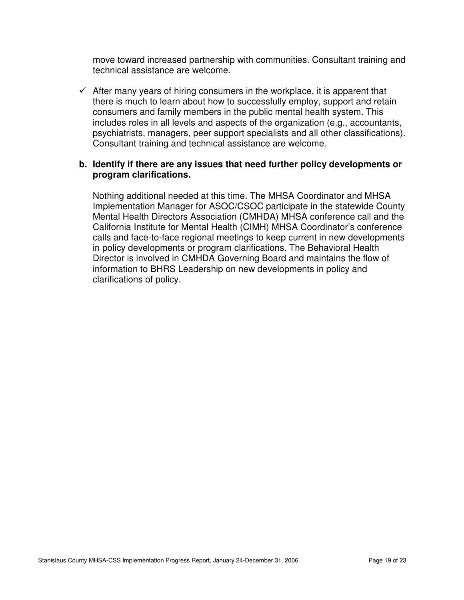move toward increased partnership with communities. Consultant training and technical assistance are welcome.

 $\checkmark$  After many years of hiring consumers in the workplace, it is apparent that there is much to learn about how to successfully employ, support and retain consumers and family members in the public mental health system. This includes roles in all levels and aspects of the organization (e.g., accountants, psychiatrists, managers, peer support specialists and all other classifications). Consultant training and technical assistance are welcome.

#### **b. Identify if there are any issues that need further policy developments or program clarifications.**

Nothing additional needed at this time. The MHSA Coordinator and MHSA Implementation Manager for ASOC/CSOC participate in the statewide County Mental Health Directors Association (CMHDA) MHSA conference call and the California Institute for Mental Health (CIMH) MHSA Coordinator's conference calls and face-to-face regional meetings to keep current in new developments in policy developments or program clarifications. The Behavioral Health Director is involved in CMHDA Governing Board and maintains the flow of information to BHRS Leadership on new developments in policy and clarifications of policy.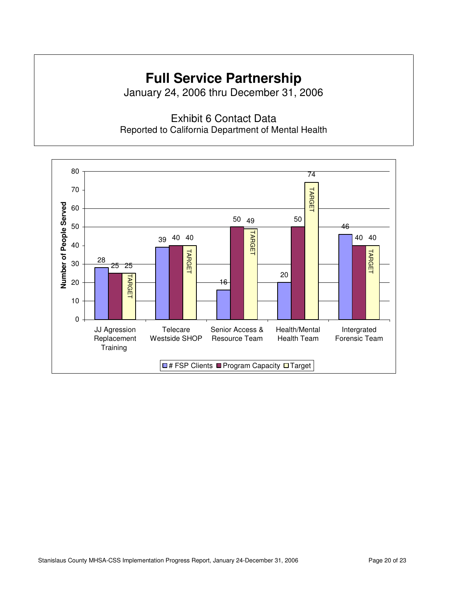# **Full Service Partnership**

January 24, 2006 thru December 31, 2006

Exhibit 6 Contact Data Reported to California Department of Mental Health

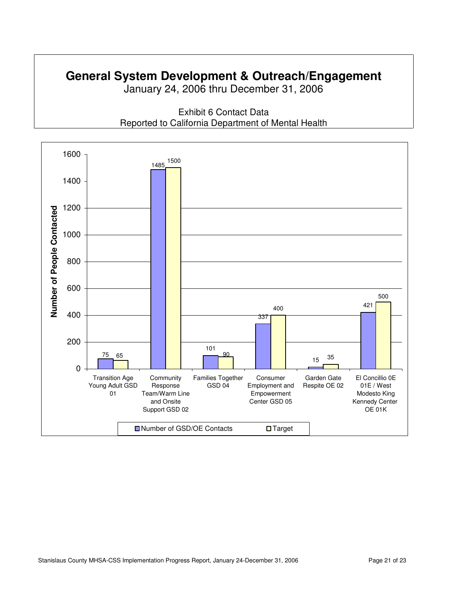# **General System Development & Outreach/Engagement**

January 24, 2006 thru December 31, 2006



Exhibit 6 Contact Data Reported to California Department of Mental Health